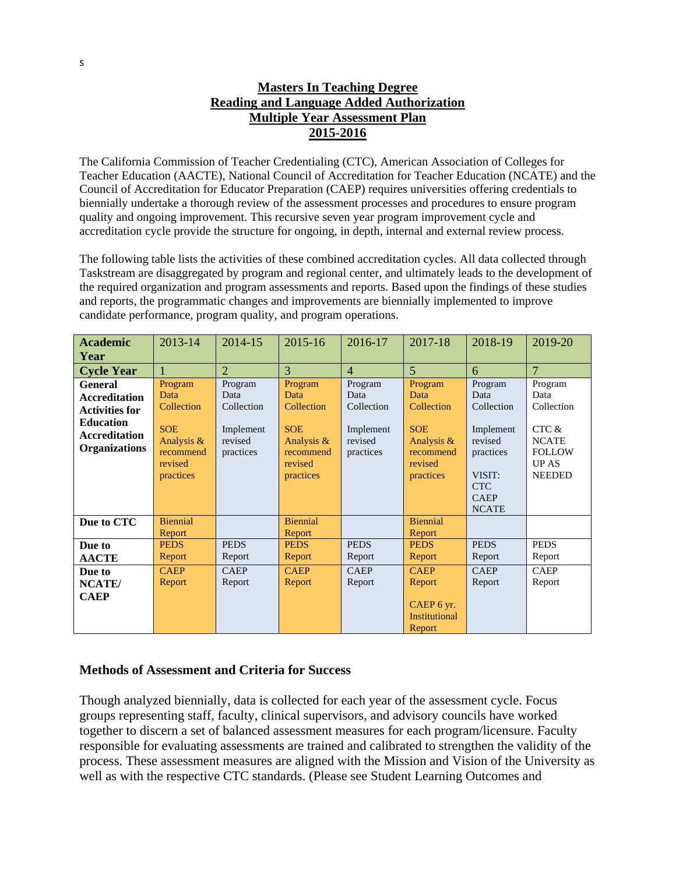## **Masters In Teaching Degree Reading and Language Added Authorization Multiple Year Assessment Plan 2015-2016**

The California Commission of Teacher Credentialing (CTC), American Association of Colleges for Teacher Education (AACTE), National Council of Accreditation for Teacher Education (NCATE) and the Council of Accreditation for Educator Preparation (CAEP) requires universities offering credentials to biennially undertake a thorough review of the assessment processes and procedures to ensure program quality and ongoing improvement. This recursive seven year program improvement cycle and accreditation cycle provide the structure for ongoing, in depth, internal and external review process.

The following table lists the activities of these combined accreditation cycles. All data collected through Taskstream are disaggregated by program and regional center, and ultimately leads to the development of the required organization and program assessments and reports. Based upon the findings of these studies and reports, the programmatic changes and improvements are biennially implemented to improve candidate performance, program quality, and program operations.

| <b>Academic</b>       | 2013-14               | 2014-15              | 2015-16               | 2016-17              | 2017-18               | 2018-19              | 2019-20        |
|-----------------------|-----------------------|----------------------|-----------------------|----------------------|-----------------------|----------------------|----------------|
| Year                  |                       |                      |                       |                      |                       |                      |                |
| <b>Cycle Year</b>     |                       | $\overline{2}$       | 3                     | $\overline{4}$       | $\overline{5}$        | 6                    | $\overline{7}$ |
| <b>General</b>        | Program               | Program              | Program               | Program              | Program               | Program              | Program        |
| <b>Accreditation</b>  | Data                  | Data                 | Data                  | Data                 | Data                  | Data                 | Data           |
| <b>Activities for</b> | Collection            | Collection           | Collection            | Collection           | Collection            | Collection           | Collection     |
| <b>Education</b>      | <b>SOE</b>            |                      | <b>SOE</b>            |                      | <b>SOE</b>            |                      | CTC &          |
| <b>Accreditation</b>  | Analysis &            | Implement<br>revised | Analysis &            | Implement<br>revised | Analysis $\&$         | Implement<br>revised | <b>NCATE</b>   |
| <b>Organizations</b>  | recommend             | practices            | recommend             | practices            | recommend             | practices            | <b>FOLLOW</b>  |
|                       | revised               |                      | revised               |                      | revised               |                      | <b>UPAS</b>    |
|                       | practices             |                      | practices             |                      | practices             | VISIT:               | <b>NEEDED</b>  |
|                       |                       |                      |                       |                      |                       | <b>CTC</b>           |                |
|                       |                       |                      |                       |                      |                       | <b>CAEP</b>          |                |
|                       |                       |                      |                       |                      |                       | <b>NCATE</b>         |                |
| Due to CTC            | <b>Biennial</b>       |                      | <b>Biennial</b>       |                      | <b>Biennial</b>       |                      |                |
|                       | Report<br><b>PEDS</b> | <b>PEDS</b>          | Report<br><b>PEDS</b> | <b>PEDS</b>          | Report<br><b>PEDS</b> | <b>PEDS</b>          | <b>PEDS</b>    |
| Due to                |                       |                      |                       |                      |                       |                      |                |
| <b>AACTE</b>          | Report                | Report               | Report                | Report               | Report                | Report               | Report         |
| Due to                | <b>CAEP</b>           | <b>CAEP</b>          | <b>CAEP</b>           | <b>CAEP</b>          | <b>CAEP</b>           | <b>CAEP</b>          | <b>CAEP</b>    |
| NCATE/                | Report                | Report               | Report                | Report               | Report                | Report               | Report         |
| <b>CAEP</b>           |                       |                      |                       |                      |                       |                      |                |
|                       |                       |                      |                       |                      | CAEP 6 yr.            |                      |                |
|                       |                       |                      |                       |                      | <b>Institutional</b>  |                      |                |
|                       |                       |                      |                       |                      | Report                |                      |                |

## **Methods of Assessment and Criteria for Success**

Though analyzed biennially, data is collected for each year of the assessment cycle. Focus groups representing staff, faculty, clinical supervisors, and advisory councils have worked together to discern a set of balanced assessment measures for each program/licensure. Faculty responsible for evaluating assessments are trained and calibrated to strengthen the validity of the process. These assessment measures are aligned with the Mission and Vision of the University as well as with the respective CTC standards. (Please see Student Learning Outcomes and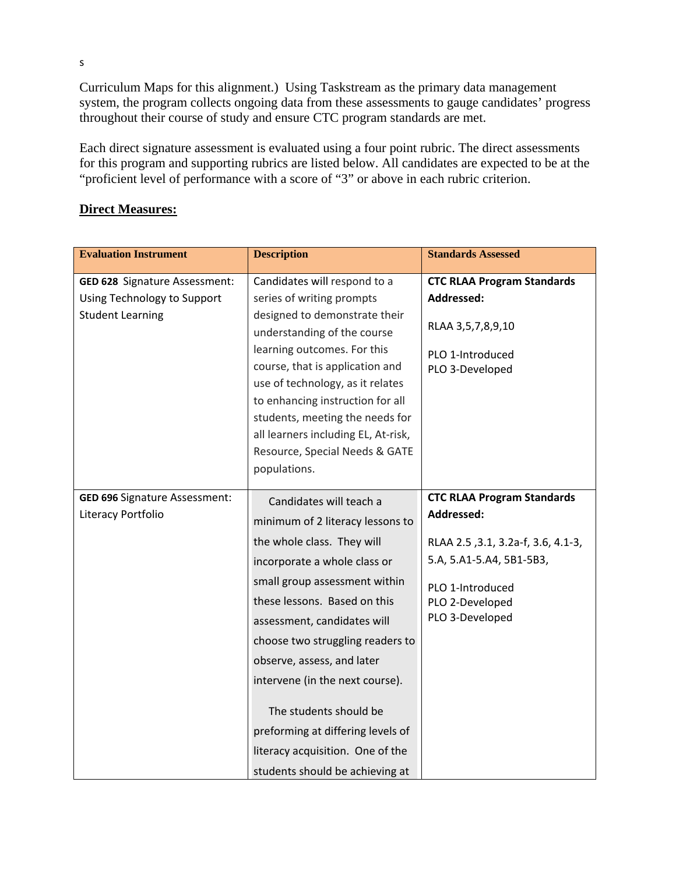Curriculum Maps for this alignment.) Using Taskstream as the primary data management system, the program collects ongoing data from these assessments to gauge candidates' progress throughout their course of study and ensure CTC program standards are met.

Each direct signature assessment is evaluated using a four point rubric. The direct assessments for this program and supporting rubrics are listed below. All candidates are expected to be at the "proficient level of performance with a score of "3" or above in each rubric criterion.

## **Direct Measures:**

| <b>Evaluation Instrument</b>                                                                   | <b>Description</b>                                                                                                                                                                                                                                                                                                                                                                                                                                                   | <b>Standards Assessed</b>                                                                                                                                                   |
|------------------------------------------------------------------------------------------------|----------------------------------------------------------------------------------------------------------------------------------------------------------------------------------------------------------------------------------------------------------------------------------------------------------------------------------------------------------------------------------------------------------------------------------------------------------------------|-----------------------------------------------------------------------------------------------------------------------------------------------------------------------------|
| <b>GED 628 Signature Assessment:</b><br>Using Technology to Support<br><b>Student Learning</b> | Candidates will respond to a<br>series of writing prompts<br>designed to demonstrate their<br>understanding of the course<br>learning outcomes. For this<br>course, that is application and<br>use of technology, as it relates<br>to enhancing instruction for all<br>students, meeting the needs for<br>all learners including EL, At-risk,<br>Resource, Special Needs & GATE<br>populations.                                                                      | <b>CTC RLAA Program Standards</b><br>Addressed:<br>RLAA 3,5,7,8,9,10<br>PLO 1-Introduced<br>PLO 3-Developed                                                                 |
| <b>GED 696 Signature Assessment:</b><br>Literacy Portfolio                                     | Candidates will teach a<br>minimum of 2 literacy lessons to<br>the whole class. They will<br>incorporate a whole class or<br>small group assessment within<br>these lessons. Based on this<br>assessment, candidates will<br>choose two struggling readers to<br>observe, assess, and later<br>intervene (in the next course).<br>The students should be<br>preforming at differing levels of<br>literacy acquisition. One of the<br>students should be achieving at | <b>CTC RLAA Program Standards</b><br>Addressed:<br>RLAA 2.5, 3.1, 3.2a-f, 3.6, 4.1-3,<br>5.A, 5.A1-5.A4, 5B1-5B3,<br>PLO 1-Introduced<br>PLO 2-Developed<br>PLO 3-Developed |

s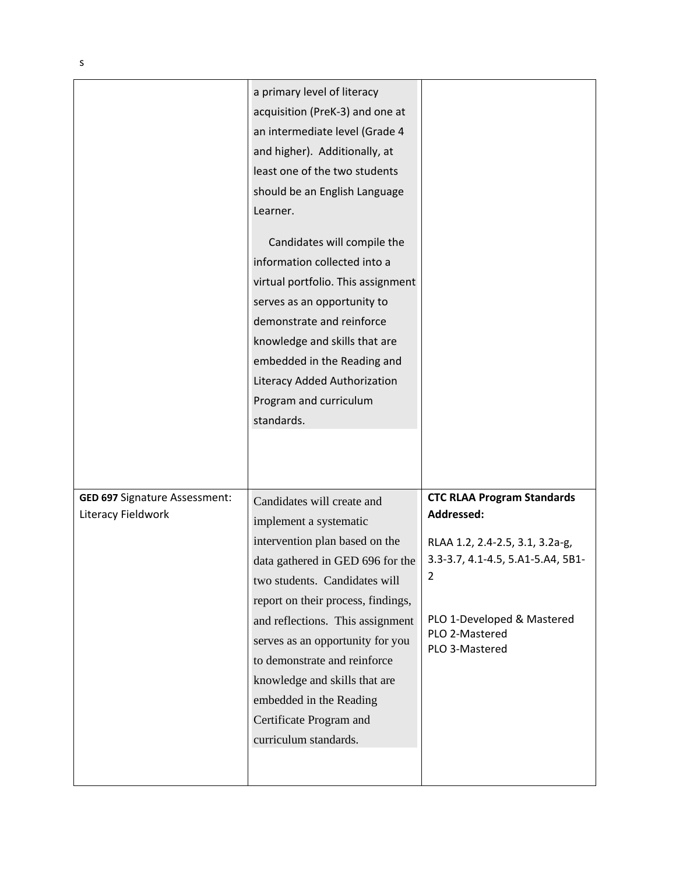|                                                     | a primary level of literacy<br>acquisition (PreK-3) and one at<br>an intermediate level (Grade 4<br>and higher). Additionally, at<br>least one of the two students<br>should be an English Language<br>Learner.<br>Candidates will compile the<br>information collected into a<br>virtual portfolio. This assignment<br>serves as an opportunity to<br>demonstrate and reinforce<br>knowledge and skills that are<br>embedded in the Reading and<br>Literacy Added Authorization<br>Program and curriculum<br>standards. |                                                                                                                                                                                                |
|-----------------------------------------------------|--------------------------------------------------------------------------------------------------------------------------------------------------------------------------------------------------------------------------------------------------------------------------------------------------------------------------------------------------------------------------------------------------------------------------------------------------------------------------------------------------------------------------|------------------------------------------------------------------------------------------------------------------------------------------------------------------------------------------------|
| GED 697 Signature Assessment:<br>Literacy Fieldwork | Candidates will create and<br>implement a systematic<br>intervention plan based on the<br>data gathered in GED 696 for the<br>two students. Candidates will<br>report on their process, findings,<br>and reflections. This assignment<br>serves as an opportunity for you<br>to demonstrate and reinforce<br>knowledge and skills that are<br>embedded in the Reading<br>Certificate Program and<br>curriculum standards.                                                                                                | <b>CTC RLAA Program Standards</b><br>Addressed:<br>RLAA 1.2, 2.4-2.5, 3.1, 3.2a-g,<br>3.3-3.7, 4.1-4.5, 5.A1-5.A4, 5B1-<br>2<br>PLO 1-Developed & Mastered<br>PLO 2-Mastered<br>PLO 3-Mastered |